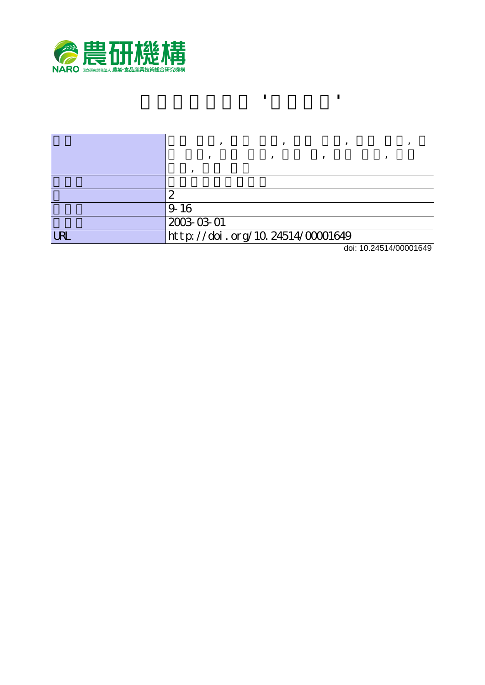

|   | سا                               |                       |  |
|---|----------------------------------|-----------------------|--|
|   | $9-16$                           |                       |  |
|   | 2003-03-01                       |                       |  |
| R | http://doi.org/10.24514/00001649 |                       |  |
|   |                                  | 1.1.40.01541/00004040 |  |

**キンカン新品種 'ぷちまる'**

doi: 10.24514/00001649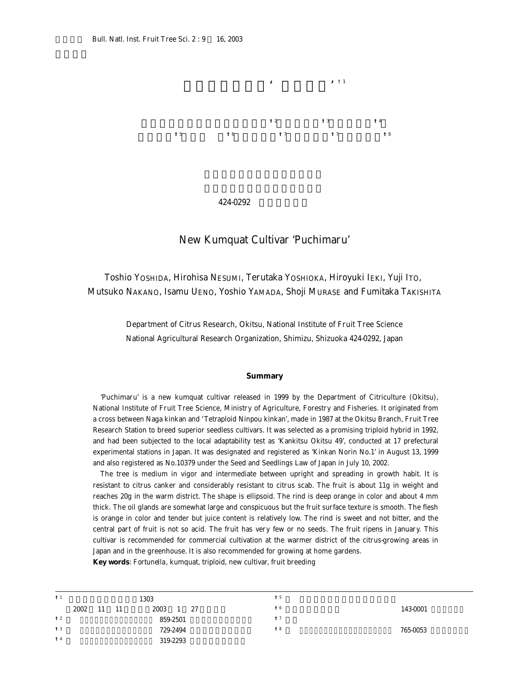

## 424-0292 **静岡県清水市**

## New Kumquat Cultivar 'Puchimaru'

Toshio YOSHIDA, Hirohisa NESUMI, Terutaka YOSHIOKA, Hiroyuki IEKI, Yuji ITO, Mutsuko NAKANO, Isamu UENO, Yoshio YAMADA, Shoji MURASE and Fumitaka TAKISHITA

> Department of Citrus Research, Okitsu, National Institute of Fruit Tree Science National Agricultural Research Organization, Shimizu, Shizuoka 424-0292, Japan

## **Summary**

'Puchimaru' is a new kumquat cultivar released in 1999 by the Department of Citriculture (Okitsu), National Institute of Fruit Tree Science, Ministry of Agriculture, Forestry and Fisheries. It originated from a cross between Naga kinkan and 'Tetraploid Ninpou kinkan', made in 1987 at the Okitsu Branch, Fruit Tree Research Station to breed superior seedless cultivars. It was selected as a promising triploid hybrid in 1992, and had been subjected to the local adaptability test as 'Kankitsu Okitsu 49', conducted at 17 prefectural experimental stations in Japan. It was designated and registered as 'Kinkan Norin No.1' in August 13, 1999 and also registered as No.10379 under the Seed and Seedlings Law of Japan in July 10, 2002.

The tree is medium in vigor and intermediate between upright and spreading in growth habit. It is resistant to citrus canker and considerably resistant to citrus scab. The fruit is about 11g in weight and reaches 20g in the warm district. The shape is ellipsoid. The rind is deep orange in color and about 4 mm thick. The oil glands are somewhat large and conspicuous but the fruit surface texture is smooth. The flesh is orange in color and tender but juice content is relatively low. The rind is sweet and not bitter, and the central part of fruit is not so acid. The fruit has very few or no seeds. The fruit ripens in January. This cultivar is recommended for commercial cultivation at the warmer district of the citrus-growing areas in Japan and in the greenhouse. It is also recommended for growing at home gardens.

**Key words**: *Fortunella*, kumquat, triploid, new cultivar, fruit breeding

| †1   |      |    |    | 1303            | † 5  |          |
|------|------|----|----|-----------------|------|----------|
|      | 2002 | 11 | 11 | 2003<br>27<br>1 | † 6  | 143-0001 |
| $+2$ |      |    |    | 859-2501        | $+7$ |          |
| †3   |      |    |    | 729-2494        | $+8$ | 765-0053 |
| † 4  |      |    |    | 319-2293        |      |          |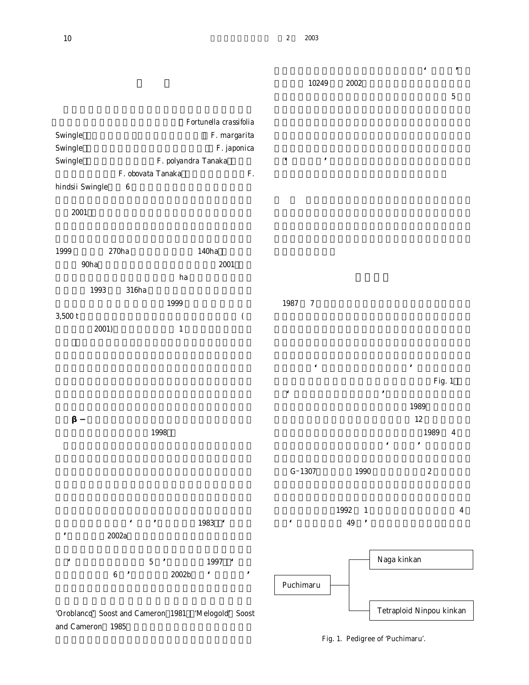|                                                          |                                                      |                                                                      | 10249                                | 2002                               | $\pmb{\epsilon}$<br>$\, ,$                                           |  |
|----------------------------------------------------------|------------------------------------------------------|----------------------------------------------------------------------|--------------------------------------|------------------------------------|----------------------------------------------------------------------|--|
| Swingle<br>Swingle<br>Swingle<br>hindsii Swingle<br>2001 | F. polyandra Tanaka<br>F. obovata Tanaka<br>$\bf 6$  | Fortunella crassifolia<br>F. margarita<br>F. japonica<br>$F_{\cdot}$ | $\pmb{\epsilon}$<br>$\, ,$           |                                    | $\bf 5$                                                              |  |
| 270ha<br>1999<br>$90\mathrm{ha}$                         |                                                      | 140ha<br>$\pmb{2001}$                                                |                                      |                                    |                                                                      |  |
| 1993<br>$3,500$ t<br>2001)                               | ha<br>316ha<br>1999<br>$\mathbf 1$                   | $\overline{(}$                                                       | 1987<br>$\boldsymbol{7}$             |                                    |                                                                      |  |
|                                                          |                                                      |                                                                      | $\pmb{\epsilon}$<br>$\pmb{\epsilon}$ |                                    | $^\mathrm{^\mathrm{o}}$<br>Fig. 1<br>$\, ,$                          |  |
|                                                          | 1998                                                 |                                                                      |                                      |                                    | 1989<br>12<br>1989<br>$\boldsymbol{4}$<br>$\, ,$<br>$\pmb{\epsilon}$ |  |
|                                                          |                                                      |                                                                      | $G-1307$                             | 1990                               | $\boldsymbol{2}$                                                     |  |
| 2002a                                                    | $\epsilon$<br>$^\bullet$                             | 1983 '                                                               | $\pmb{\epsilon}$                     | 1992<br>$\mathbf{1}$<br>49<br>$\,$ | $\boldsymbol{4}$                                                     |  |
| $\pmb{\epsilon}$<br>$\bf 6$                              | $5\,$<br>$\cdot$<br>$2002\mathrm{b}$                 | 1997 '<br>$\pmb{\epsilon}$<br>,                                      | Puchimaru                            |                                    | Naga kinkan                                                          |  |
|                                                          | 'Oroblanco' Soost and Cameron 1981  'Melogold' Soost |                                                                      |                                      |                                    | Tetraploid Ninpou kinkan                                             |  |

and Cameron 1985

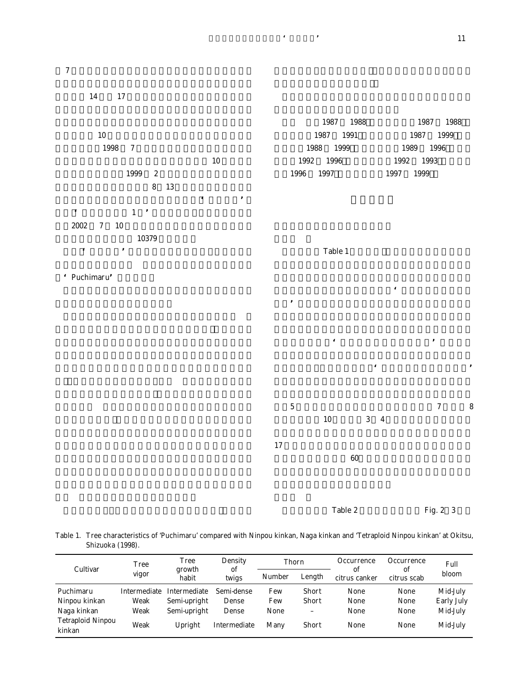

Table 1. Tree characteristics of 'Puchimaru' compared with Ninpou kinkan, Naga kinkan and 'Tetraploid Ninpou kinkan' at Okitsu, Shizuoka (1998).

| Cultivar                           | <b>Tree</b><br>vigor | Tree<br>growth | Density<br>οf       | Thorn  |                   | Occurrence<br>of | Occurrence<br>of | Full<br>bloom     |  |
|------------------------------------|----------------------|----------------|---------------------|--------|-------------------|------------------|------------------|-------------------|--|
|                                    |                      | habit          | twigs               | Number | Length            | citrus canker    | citrus scab      |                   |  |
| Puchimaru                          | Intermediate         | Intermediate   | Semi-dense          | Few    | Short             | None             | None             | Mid-July          |  |
| Ninpou kinkan                      | Weak                 | Semi-upright   | Dense               | Few    | <b>Short</b>      | None             | None             | <b>Early July</b> |  |
| Naga kinkan                        | Weak                 | Semi-upright   | Dense               | None   | $\qquad \qquad -$ | None             | None             | Mid-July          |  |
| <b>Tetraploid Ninpou</b><br>kinkan | Weak                 | Upright        | <b>Intermediate</b> | Many   | <b>Short</b>      | None             | None             | Mid-July          |  |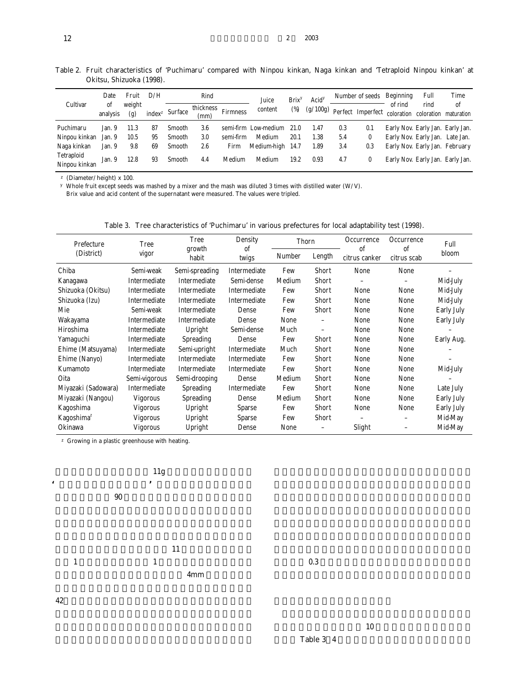| Cultivar                    | Date           | Fruit         | D/H                | Rind          |                   |                 | Juice                | Brix <sup>y</sup> | Acid <sup>y</sup> | Number of seeds |                            | Beginning             | Full                             | Time |
|-----------------------------|----------------|---------------|--------------------|---------------|-------------------|-----------------|----------------------|-------------------|-------------------|-----------------|----------------------------|-----------------------|----------------------------------|------|
|                             | οf<br>analysis | weight<br>(g) | index <sup>z</sup> | Surface       | thickness<br>(mm) | <b>Firmness</b> | content              | $(\%)$            |                   |                 | (g/100g) Perfect Imperfect | of rind<br>coloration | rind<br>coloration maturation    | of   |
| Puchimaru                   | Jan. 9         | 11.3          | 87                 | <b>Smooth</b> | 3.6               |                 | semi-firm Low-medium | 21.0              | 1.47              | 0.3             | 0.1                        |                       | Early Nov. Early Jan. Early Jan. |      |
| Ninpou kinkan               | Jan. 9         | 10.5          | 95                 | Smooth        | 3.0               | semi-firm       | Medium               | 20.1              | 1.38              | 5.4             | 0                          |                       | Early Nov. Early Jan. Late Jan.  |      |
| Naga kinkan                 | Jan. 9         | 9.8           | 69                 | Smooth        | 2.6               | Firm            | Medium-high 14.7     |                   | 1.89              | 3.4             | 0.3                        |                       | Early Nov. Early Jan. February   |      |
| Tetraploid<br>Ninpou kinkan | Jan. 9         | 12.8          | 93                 | Smooth        | 4.4               | Medium          | Medium               | 19.2              | 0.93              | 4.7             | 0                          |                       | Early Nov. Early Jan. Early Jan. |      |

Table 2. Fruit characteristics of 'Puchimaru' compared with Ninpou kinkan, Naga kinkan and 'Tetraploid Ninpou kinkan' at Okitsu, Shizuoka (1998).

z (Diameter/height) x 100.

y Whole fruit except seeds was mashed by a mixer and the mash was diluted 3 times with distilled water (W/V).

Brix value and acid content of the supernatant were measured. The values were tripled.

| Prefecture             | <b>Tree</b>     | Tree             | Density                | Thorn  |                          | Occurrence          | Occurrence                   | Full              |
|------------------------|-----------------|------------------|------------------------|--------|--------------------------|---------------------|------------------------------|-------------------|
| (District)             | vigor           | growth<br>habit  | <sub>of</sub><br>twigs | Number | Length                   | of<br>citrus canker | <sub>of</sub><br>citrus scab | bloom             |
| Chiba                  | Semi-weak       | Semi-spreading   | Intermediate           | Few    | Short                    | None                | None                         |                   |
| Kanagawa               | Intermediate    | Intermediate     | Semi-dense             | Medium | <b>Short</b>             |                     |                              | Mid-July          |
| Shizuoka (Okitsu)      | Intermediate    | Intermediate     | Intermediate           | Few    | <b>Short</b>             | None                | None                         | Mid-July          |
| Shizuoka (Izu)         | Intermediate    | Intermediate     | Intermediate           | Few    | <b>Short</b>             | None                | None                         | Mid-July          |
| Mie                    | Semi-weak       | Intermediate     | Dense                  | Few    | <b>Short</b>             | None                | None                         | <b>Early July</b> |
| Wakayama               | Intermediate    | Intermediate     | Dense                  | None   | $\overline{\phantom{0}}$ | None                | None                         | Early July        |
| Hiroshima              | Intermediate    | Upright          | Semi-dense             | Much   | $\overline{\phantom{0}}$ | None                | None                         |                   |
| Yamaguchi              | Intermediate    | <b>Spreading</b> | Dense                  | Few    | <b>Short</b>             | None                | None                         | Early Aug.        |
| Ehime (Matsuyama)      | Intermediate    | Semi-upright     | Intermediate           | Much   | <b>Short</b>             | None                | None                         |                   |
| Ehime (Nanyo)          | Intermediate    | Intermediate     | Intermediate           | Few    | <b>Short</b>             | None                | None                         |                   |
| Kumamoto               | Intermediate    | Intermediate     | Intermediate           | Few    | Short                    | None                | None                         | Mid-July          |
| Oita                   | Semi-vigorous   | Semi-drooping    | Dense                  | Medium | <b>Short</b>             | None                | None                         |                   |
| Miyazaki (Sadowara)    | Intermediate    | Spreading        | Intermediate           | Few    | <b>Short</b>             | None                | None                         | Late July         |
| Miyazaki (Nangou)      | <b>Vigorous</b> | Spreading        | Dense                  | Medium | <b>Short</b>             | None                | None                         | Early July        |
| Kagoshima              | <b>Vigorous</b> | Upright          | <b>Sparse</b>          | Few    | Short                    | None                | None                         | Early July        |
| Kagoshima <sup>2</sup> | Vigorous        | Upright          | <b>Sparse</b>          | Few    | Short                    |                     |                              | Mid-May           |
| Okinawa                | <b>Vigorous</b> | Upright          | Dense                  | None   | $\qquad \qquad -$        | Slight              |                              | Mid-May           |

Table 3. Tree characteristics of 'Puchimaru' in various prefectures for local adaptability test (1998).

z Growing in a plastic greenhouse with heating.



42**%でニンポウキンカンよりやや高い.果皮の硬さはニ**

**特性及び果実特性を平成** 10 **年度成績検討会資料から抜 Table 3 4**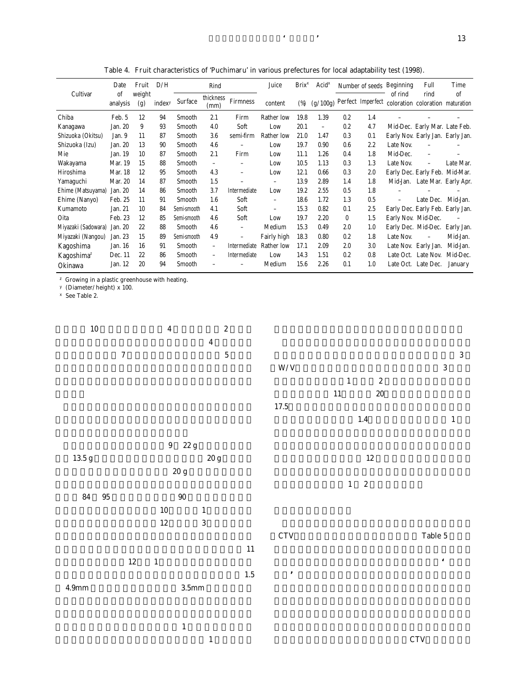|                        | Date           | Fruit         | D/H    | Rind           |                          |                          | Juice                    | $Brix^x$ | Acid <sup>x</sup>        | Number of seeds Beginning |     |                   | Full                                                                  | Time           |
|------------------------|----------------|---------------|--------|----------------|--------------------------|--------------------------|--------------------------|----------|--------------------------|---------------------------|-----|-------------------|-----------------------------------------------------------------------|----------------|
| Cultivar               | of<br>analysis | weight<br>(g) | indexy | <b>Surface</b> | thickness<br>(mm)        | <b>Firmness</b>          | content                  | (%)      |                          |                           |     | of rind           | rind<br>$(g/100g)$ Perfect Imperfect coloration coloration maturation | of             |
| Chiba                  | Feb. 5         | 12            | 94     | Smooth         | 2.1                      | Firm                     | <b>Rather low</b>        | 19.8     | 1.39                     | 0.2                       | 1.4 |                   |                                                                       |                |
| Kanagawa               | Jan. 20        | 9             | 93     | Smooth         | 4.0                      | Soft                     | Low                      | 20.1     | $\overline{\phantom{0}}$ | 0.2                       | 4.7 |                   | Mid-Dec. Early Mar. Late Feb.                                         |                |
| Shizuoka (Okitsu)      | Jan. 9         | 11            | 87     | Smooth         | 3.6                      | semi-firm                | <b>Rather low</b>        | 21.0     | 1.47                     | 0.3                       | 0.1 |                   | Early Nov. Early Jan. Early Jan.                                      |                |
| Shizuoka (Izu)         | Jan. 20        | 13            | 90     | Smooth         | 4.6                      |                          | Low                      | 19.7     | 0.90                     | 0.6                       | 2.2 | Late Nov.         |                                                                       |                |
| Mie                    | Jan. 19        | 10            | 87     | Smooth         | 2.1                      | Firm                     | Low                      | 11.1     | 1.26                     | 0.4                       | 1.8 | Mid-Dec.          |                                                                       |                |
| Wakayama               | Mar. 19        | 15            | 88     | Smooth         | $\equiv$                 | $\qquad \qquad -$        | Low                      | 10.5     | 1.13                     | 0.3                       | 1.3 | Late Nov.         |                                                                       | Late Mar.      |
| Hiroshima              | Mar. 18        | 12            | 95     | Smooth         | 4.3                      | $\overline{\phantom{0}}$ | Low                      | 12.1     | 0.66                     | 0.3                       | 2.0 |                   | Early Dec. Early Feb. Mid-Mar.                                        |                |
| Yamaguchi              | Mar. 20        | 14            | 87     | Smooth         | 1.5                      |                          | $\qquad \qquad -$        | 13.9     | 2.89                     | 1.4                       | 1.8 | Mid-Jan.          | Late Mar. Early Apr.                                                  |                |
| Ehime (Matsuyama)      | Jan. 20        | 14            | 86     | Smooth         | 3.7                      | Intermediate             | Low                      | 19.2     | 2.55                     | 0.5                       | 1.8 |                   |                                                                       |                |
| Ehime (Nanyo)          | Feb. 25        | 11            | 91     | Smooth         | 1.6                      | Soft                     | $\qquad \qquad -$        | 18.6     | 1.72                     | 1.3                       | 0.5 | $\qquad \qquad =$ | Late Dec.                                                             | Mid-Jan.       |
| Kumamoto               | Jan. 21        | 10            | 84     | Semi-smooth    | 4.1                      | Soft                     | $\overline{\phantom{0}}$ | 15.3     | 0.82                     | 0.1                       | 2.5 |                   | Early Dec. Early Feb. Early Jan.                                      |                |
| Oita                   | Feb. 23        | 12            | 85     | Semi-smooth    | 4.6                      | Soft                     | Low                      | 19.7     | 2.20                     | $\mathbf{0}$              | 1.5 |                   | Early Nov. Mid-Dec.                                                   |                |
| Miyazaki (Sadowara)    | Jan. 20        | 22            | 88     | Smooth         | 4.6                      | $\overline{\phantom{0}}$ | Medium                   | 15.3     | 0.49                     | 2.0                       | 1.0 |                   | Early Dec. Mid-Dec.                                                   | Early Jan.     |
| Miyazaki (Nangou)      | Jan. 23        | 15            | 89     | Semi-smooth    | 4.9                      | $\equiv$                 | Fairly high              | 18.3     | 0.80                     | 0.2                       | 1.8 | Late Nov.         |                                                                       | Mid-Jan.       |
| Kagoshima              | Jan. 16        | 16            | 91     | Smooth         | $\overline{\phantom{0}}$ | Intermediate             | <b>Rather low</b>        | 17.1     | 2.09                     | 2.0                       | 3.0 |                   | Late Nov. Early Jan.                                                  | Mid-Jan.       |
| Kagoshima <sup>z</sup> | Dec. 11        | 22            | 86     | Smooth         | $\overline{\phantom{0}}$ | Intermediate             | Low                      | 14.3     | 1.51                     | 0.2                       | 0.8 | Late Oct.         | Late Nov.                                                             | Mid-Dec.       |
| Okinawa                | Jan. 12        | 20            | 94     | Smooth         |                          |                          | Medium                   | 15.6     | 2.26                     | 0.1                       | 1.0 | Late Oct.         | Late Dec.                                                             | <b>January</b> |

Table 4. Fruit characteristics of 'Puchimaru' in various prefectures for local adaptability test (1998).

z Growing in a plastic greenhouse with heating.

y (Diameter/height) x 100.

x See Table 2.



**の厚さは中程度であった.裂果が** 1 **か所で少し認めら れ,また,す上がりが軽発生と中発生が各** 1 **か所で認め**  $CTV$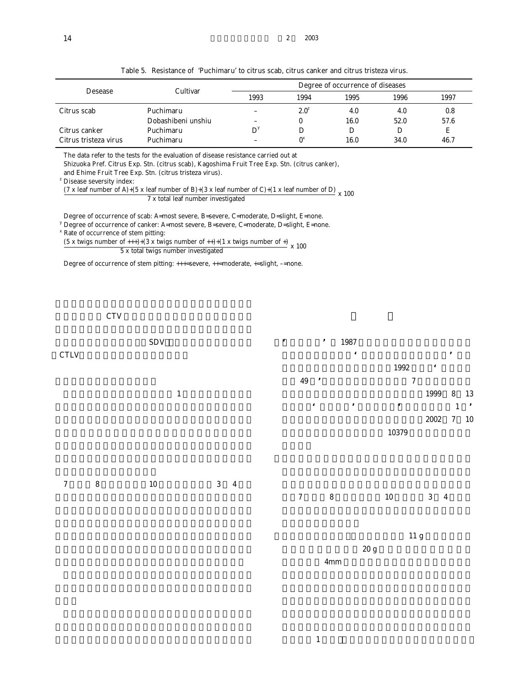|                       | Cultivar           |      | Degree of occurrence of diseases |      |      |      |  |  |  |  |  |
|-----------------------|--------------------|------|----------------------------------|------|------|------|--|--|--|--|--|
| <b>Desease</b>        |                    | 1993 | 1994                             | 1995 | 1996 | 1997 |  |  |  |  |  |
| Citrus scab           | Puchimaru          |      | $2.0^z$                          | 4.0  | 4.0  | 0.8  |  |  |  |  |  |
|                       | Dobashibeni unshiu |      |                                  | 16.0 | 52.0 | 57.6 |  |  |  |  |  |
| Citrus canker         | Puchimaru          | D    | D                                |      |      | Е    |  |  |  |  |  |
| Citrus tristeza virus | Puchimaru          |      | $0^x$                            | 16.0 | 34.0 | 46.7 |  |  |  |  |  |

Table 5. Resistance of 'Puchimaru' to citrus scab, citrus canker and citrus tristeza virus.

The data refer to the tests for the evaluation of disease resistance carried out at

Shizuoka Pref. Citrus Exp. Stn. (citrus scab), Kagoshima Fruit Tree Exp. Stn. (citrus canker),

and Ehime Fruit Tree Exp. Stn. (citrus tristeza virus).

<sup>z</sup> Disease seversity index:

(7 x leaf number of A)+(5 x leaf number of B)+(3 x leaf number of C)+(1 x leaf number of D)  $\rightarrow$  7 x total leaf number investigated

Degree of occurrence of scab: A=most severe, B=severe, C=moderate, D=slight, E=none.

<sup>y</sup> Degree of occurrence of canker: A=most severe, B=severe, C=moderate, D=slight, E=none.

x Rate of occurrence of stem pitting:

Rate of occurrence of securities.<br>  $\frac{(5 \times \text{twigs number of ++}) + (3 \times \text{twigs number of ++}) + (1 \times \text{twigs number of +})}{5 \times \text{total twigs number investigated}} \times 100$ 

Degree of occurrence of stem pitting: +++=severe, ++=moderate, +=slight, –=none.

 $\mathbf{CTV}$ 

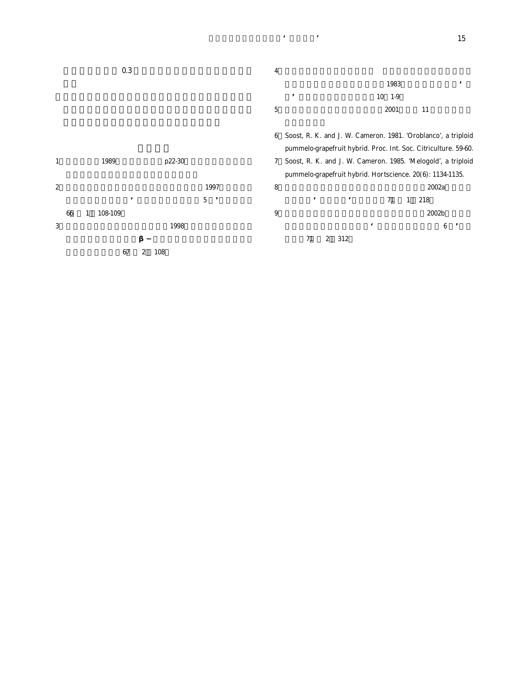|                  |    |   |         | 0.3        |        |              | 4          |                                                                 |                         |             |   |       |       |            |
|------------------|----|---|---------|------------|--------|--------------|------------|-----------------------------------------------------------------|-------------------------|-------------|---|-------|-------|------------|
|                  |    |   |         |            |        |              |            |                                                                 |                         | 1983        |   |       |       | $\epsilon$ |
|                  |    |   |         |            |        |              |            | ,                                                               |                         | $10 \t 1-9$ |   |       |       |            |
|                  |    |   |         |            |        |              | $\sqrt{5}$ |                                                                 |                         | 2001        |   | 11    |       |            |
|                  |    |   |         |            |        |              | 6          | Soost, R. K. and J. W. Cameron. 1981. 'Oroblanco', a triploid   |                         |             |   |       |       |            |
|                  |    |   |         |            |        |              |            | pummelo-grapefruit hybrid. Proc. Int. Soc. Citriculture. 59-60. |                         |             |   |       |       |            |
| $\mathbf{1}$     |    |   | 1989    |            | p22-30 |              | 7          | Soost, R. K. and J. W. Cameron. 1985. 'Melogold', a triploid    |                         |             |   |       |       |            |
|                  |    |   |         |            |        |              |            | pummelo-grapefruit hybrid. Hortscience. 20(6): 1134-1135.       |                         |             |   |       |       |            |
| $\boldsymbol{2}$ |    |   |         |            |        | 1997         | 8          |                                                                 |                         |             |   |       | 2002a |            |
|                  |    |   |         | $\epsilon$ |        | 5<br>$\cdot$ |            | $\epsilon$                                                      | $^\mathrm{^\mathrm{o}}$ | 71          | 1 | 218   |       |            |
|                  | 66 | 1 | 108-109 |            |        |              | 9          |                                                                 |                         |             |   | 2002b |       |            |
| 3                |    |   |         |            | 1998   |              |            |                                                                 |                         |             |   |       | 6     |            |

**学雑.**71**(別** 2 312

**間差異.園学雑.**67**(別** 2 108

**吉田ら:キンカン新品種'ぷちまる'** 15